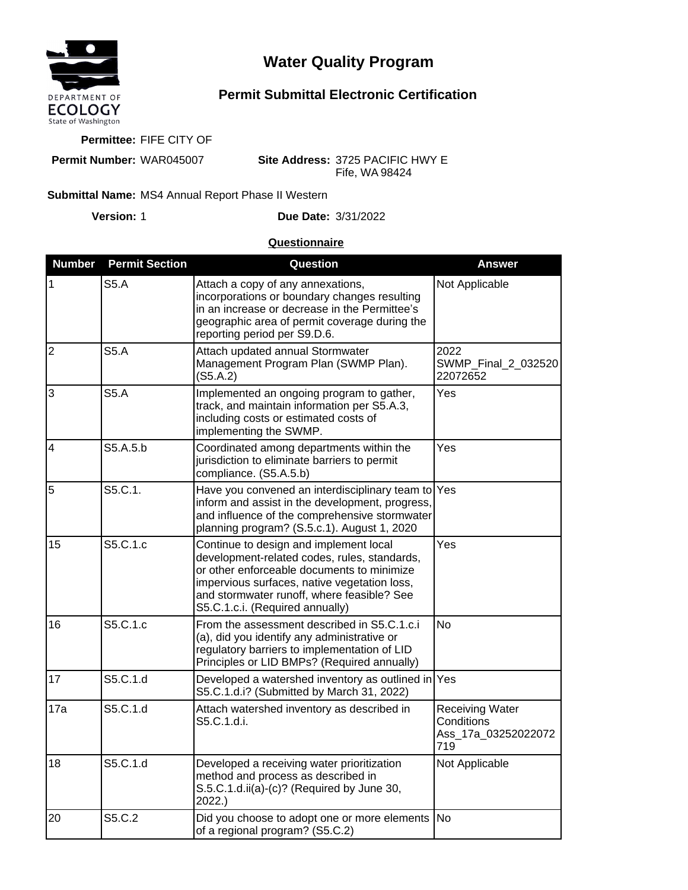

## **Water Quality Program**

## **Permit Submittal Electronic Certification**

**Permittee:** FIFE CITY OF

**Permit Number:** WAR045007

**Site Address:** 3725 PACIFIC HWY E Fife, WA 98424

## **Submittal Name: MS4 Annual Report Phase II Western**

**Version:**

1 **Due Date:** 3/31/2022

## **Questionnaire**

| <b>Number</b>  | <b>Permit Section</b> | Question                                                                                                                                                                                                                                                              | Answer                                                             |
|----------------|-----------------------|-----------------------------------------------------------------------------------------------------------------------------------------------------------------------------------------------------------------------------------------------------------------------|--------------------------------------------------------------------|
| 1              | <b>S5.A</b>           | Attach a copy of any annexations,<br>incorporations or boundary changes resulting<br>in an increase or decrease in the Permittee's<br>geographic area of permit coverage during the<br>reporting period per S9.D.6.                                                   | Not Applicable                                                     |
| $\overline{2}$ | <b>S5.A</b>           | Attach updated annual Stormwater<br>Management Program Plan (SWMP Plan).<br>(S5.A.2)                                                                                                                                                                                  | 2022<br>SWMP_Final_2_032520<br>22072652                            |
| 3              | S5.A                  | Implemented an ongoing program to gather,<br>track, and maintain information per S5.A.3,<br>including costs or estimated costs of<br>implementing the SWMP.                                                                                                           | Yes                                                                |
| 4              | S5.A.5.b              | Coordinated among departments within the<br>jurisdiction to eliminate barriers to permit<br>compliance. (S5.A.5.b)                                                                                                                                                    | Yes                                                                |
| 5              | S5.C.1.               | Have you convened an interdisciplinary team to Yes<br>inform and assist in the development, progress,<br>and influence of the comprehensive stormwater<br>planning program? (S.5.c.1). August 1, 2020                                                                 |                                                                    |
| 15             | S5.C.1.c              | Continue to design and implement local<br>development-related codes, rules, standards,<br>or other enforceable documents to minimize<br>impervious surfaces, native vegetation loss,<br>and stormwater runoff, where feasible? See<br>S5.C.1.c.i. (Required annually) | Yes                                                                |
| 16             | S5.C.1.c              | From the assessment described in S5.C.1.c.i<br>(a), did you identify any administrative or<br>regulatory barriers to implementation of LID<br>Principles or LID BMPs? (Required annually)                                                                             | <b>No</b>                                                          |
| 17             | S5.C.1.d              | Developed a watershed inventory as outlined in Yes<br>S5.C.1.d.i? (Submitted by March 31, 2022)                                                                                                                                                                       |                                                                    |
| 17a            | S5.C.1.d              | Attach watershed inventory as described in<br>S5.C.1.d.i.                                                                                                                                                                                                             | <b>Receiving Water</b><br>Conditions<br>Ass_17a_03252022072<br>719 |
| 18             | S5.C.1.d              | Developed a receiving water prioritization<br>method and process as described in<br>S.5.C.1.d.ii(a)-(c)? (Required by June 30,<br>2022.)                                                                                                                              | Not Applicable                                                     |
| 20             | S5.C.2                | Did you choose to adopt one or more elements<br>of a regional program? (S5.C.2)                                                                                                                                                                                       | No                                                                 |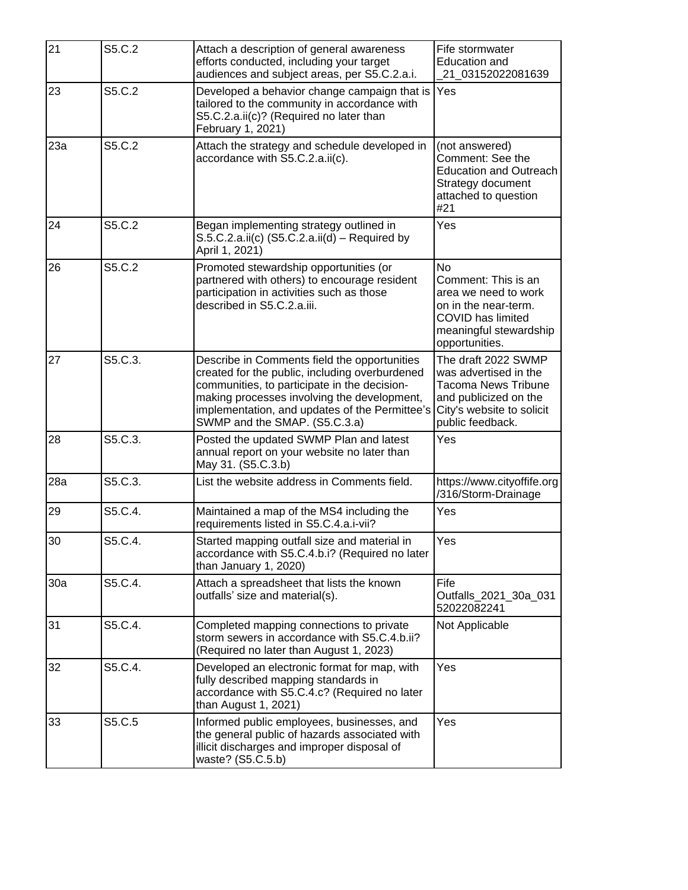| 21  | S5.C.2  | Attach a description of general awareness<br>efforts conducted, including your target<br>audiences and subject areas, per S5.C.2.a.i.                                                                                                                                            | Fife stormwater<br><b>Education and</b><br>21 03152022081639                                                                                         |
|-----|---------|----------------------------------------------------------------------------------------------------------------------------------------------------------------------------------------------------------------------------------------------------------------------------------|------------------------------------------------------------------------------------------------------------------------------------------------------|
| 23  | S5.C.2  | Developed a behavior change campaign that is<br>tailored to the community in accordance with<br>S5.C.2.a.ii(c)? (Required no later than<br>February 1, 2021)                                                                                                                     | Yes                                                                                                                                                  |
| 23a | S5.C.2  | Attach the strategy and schedule developed in<br>accordance with S5.C.2.a.ii(c).                                                                                                                                                                                                 | (not answered)<br>Comment: See the<br><b>Education and Outreach</b><br>Strategy document<br>attached to question<br>#21                              |
| 24  | S5.C.2  | Began implementing strategy outlined in<br>$S.5.C.2.a.ii(c)$ (S5.C.2.a.ii(d) – Required by<br>April 1, 2021)                                                                                                                                                                     | Yes                                                                                                                                                  |
| 26  | S5.C.2  | Promoted stewardship opportunities (or<br>partnered with others) to encourage resident<br>participation in activities such as those<br>described in S5.C.2.a.iii.                                                                                                                | <b>No</b><br>Comment: This is an<br>area we need to work<br>on in the near-term.<br>COVID has limited<br>meaningful stewardship<br>opportunities.    |
| 27  | S5.C.3. | Describe in Comments field the opportunities<br>created for the public, including overburdened<br>communities, to participate in the decision-<br>making processes involving the development,<br>implementation, and updates of the Permittee's<br>SWMP and the SMAP. (S5.C.3.a) | The draft 2022 SWMP<br>was advertised in the<br><b>Tacoma News Tribune</b><br>and publicized on the<br>City's website to solicit<br>public feedback. |
| 28  | S5.C.3. | Posted the updated SWMP Plan and latest<br>annual report on your website no later than<br>May 31. (S5.C.3.b)                                                                                                                                                                     | Yes                                                                                                                                                  |
| 28a | S5.C.3. | List the website address in Comments field.                                                                                                                                                                                                                                      | https://www.cityoffife.org<br>/316/Storm-Drainage                                                                                                    |
| 29  | S5.C.4. | Maintained a map of the MS4 including the<br>requirements listed in S5.C.4.a.i-vii?                                                                                                                                                                                              | Yes                                                                                                                                                  |
| 30  | S5.C.4. | Started mapping outfall size and material in<br>accordance with S5.C.4.b.i? (Required no later<br>than January 1, 2020)                                                                                                                                                          | Yes                                                                                                                                                  |
| 30a | S5.C.4. | Attach a spreadsheet that lists the known<br>outfalls' size and material(s).                                                                                                                                                                                                     | Fife<br>Outfalls_2021_30a_031<br>52022082241                                                                                                         |
| 31  | S5.C.4. | Completed mapping connections to private<br>storm sewers in accordance with S5.C.4.b.ii?<br>(Required no later than August 1, 2023)                                                                                                                                              | Not Applicable                                                                                                                                       |
| 32  | S5.C.4. | Developed an electronic format for map, with<br>fully described mapping standards in<br>accordance with S5.C.4.c? (Required no later<br>than August 1, 2021)                                                                                                                     | Yes                                                                                                                                                  |
| 33  | S5.C.5  | Informed public employees, businesses, and<br>the general public of hazards associated with<br>illicit discharges and improper disposal of<br>waste? (S5.C.5.b)                                                                                                                  | Yes                                                                                                                                                  |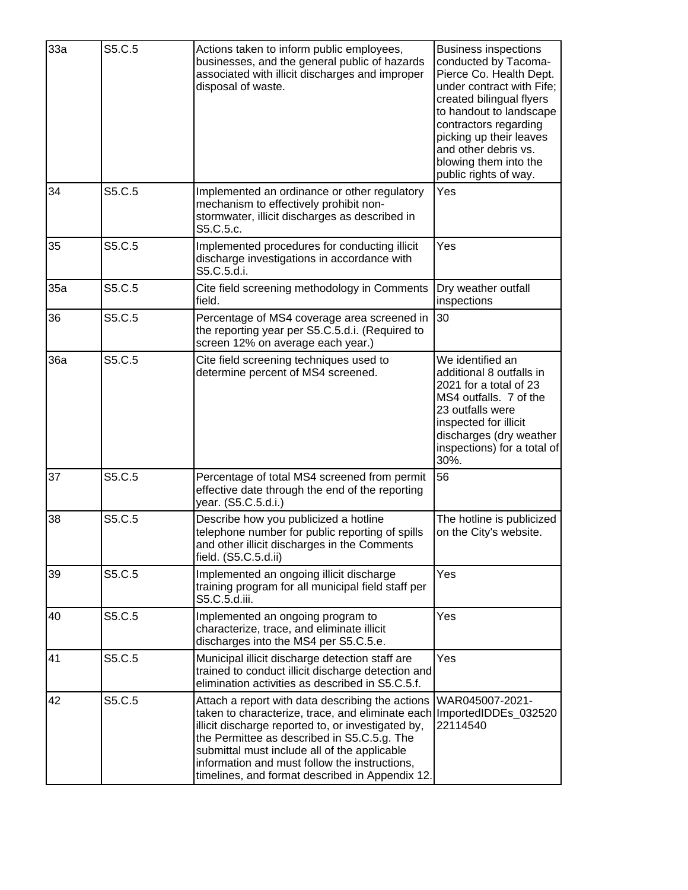| 33a | S5.C.5 | Actions taken to inform public employees,<br>businesses, and the general public of hazards<br>associated with illicit discharges and improper<br>disposal of waste.                                                                                                                                                                                                                | <b>Business inspections</b><br>conducted by Tacoma-<br>Pierce Co. Health Dept.<br>under contract with Fife;<br>created bilingual flyers<br>to handout to landscape<br>contractors regarding<br>picking up their leaves<br>and other debris vs.<br>blowing them into the<br>public rights of way. |
|-----|--------|------------------------------------------------------------------------------------------------------------------------------------------------------------------------------------------------------------------------------------------------------------------------------------------------------------------------------------------------------------------------------------|--------------------------------------------------------------------------------------------------------------------------------------------------------------------------------------------------------------------------------------------------------------------------------------------------|
| 34  | S5.C.5 | Implemented an ordinance or other regulatory<br>mechanism to effectively prohibit non-<br>stormwater, illicit discharges as described in<br>S5.C.5.c.                                                                                                                                                                                                                              | Yes                                                                                                                                                                                                                                                                                              |
| 35  | S5.C.5 | Implemented procedures for conducting illicit<br>discharge investigations in accordance with<br>S5.C.5.d.i.                                                                                                                                                                                                                                                                        | Yes                                                                                                                                                                                                                                                                                              |
| 35a | S5.C.5 | Cite field screening methodology in Comments<br>field.                                                                                                                                                                                                                                                                                                                             | Dry weather outfall<br>inspections                                                                                                                                                                                                                                                               |
| 36  | S5.C.5 | Percentage of MS4 coverage area screened in<br>the reporting year per S5.C.5.d.i. (Required to<br>screen 12% on average each year.)                                                                                                                                                                                                                                                | 30                                                                                                                                                                                                                                                                                               |
| 36a | S5.C.5 | Cite field screening techniques used to<br>determine percent of MS4 screened.                                                                                                                                                                                                                                                                                                      | We identified an<br>additional 8 outfalls in<br>2021 for a total of 23<br>MS4 outfalls. 7 of the<br>23 outfalls were<br>inspected for illicit<br>discharges (dry weather<br>inspections) for a total of<br>30%.                                                                                  |
| 37  | S5.C.5 | Percentage of total MS4 screened from permit<br>effective date through the end of the reporting<br>year. (S5.C.5.d.i.)                                                                                                                                                                                                                                                             | 56                                                                                                                                                                                                                                                                                               |
| 38  | S5.C.5 | Describe how you publicized a hotline<br>telephone number for public reporting of spills<br>and other illicit discharges in the Comments<br>field. (S5.C.5.d.ii)                                                                                                                                                                                                                   | The hotline is publicized<br>on the City's website.                                                                                                                                                                                                                                              |
| 39  | S5.C.5 | Implemented an ongoing illicit discharge<br>training program for all municipal field staff per<br>S5.C.5.d.iii.                                                                                                                                                                                                                                                                    | Yes                                                                                                                                                                                                                                                                                              |
| 40  | S5.C.5 | Implemented an ongoing program to<br>characterize, trace, and eliminate illicit<br>discharges into the MS4 per S5.C.5.e.                                                                                                                                                                                                                                                           | Yes                                                                                                                                                                                                                                                                                              |
| 41  | S5.C.5 | Municipal illicit discharge detection staff are<br>trained to conduct illicit discharge detection and<br>elimination activities as described in S5.C.5.f.                                                                                                                                                                                                                          | Yes                                                                                                                                                                                                                                                                                              |
| 42  | S5.C.5 | Attach a report with data describing the actions<br>taken to characterize, trace, and eliminate each ImportedIDDEs_032520<br>illicit discharge reported to, or investigated by,<br>the Permittee as described in S5.C.5.g. The<br>submittal must include all of the applicable<br>information and must follow the instructions,<br>timelines, and format described in Appendix 12. | WAR045007-2021-<br>22114540                                                                                                                                                                                                                                                                      |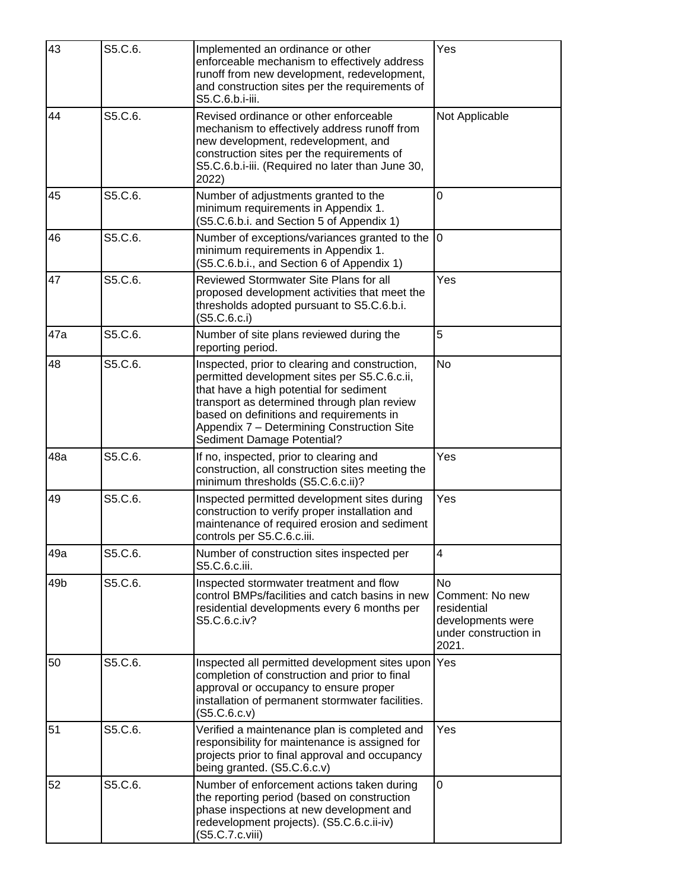| 43              | S5.C.6. | Implemented an ordinance or other<br>enforceable mechanism to effectively address<br>runoff from new development, redevelopment,<br>and construction sites per the requirements of<br>S5.C.6.b.i-iii.                                                                                                            | Yes                                                                                                |
|-----------------|---------|------------------------------------------------------------------------------------------------------------------------------------------------------------------------------------------------------------------------------------------------------------------------------------------------------------------|----------------------------------------------------------------------------------------------------|
| 44              | S5.C.6. | Revised ordinance or other enforceable<br>mechanism to effectively address runoff from<br>new development, redevelopment, and<br>construction sites per the requirements of<br>S5.C.6.b.i-iii. (Required no later than June 30,<br>2022)                                                                         | Not Applicable                                                                                     |
| 45              | S5.C.6. | Number of adjustments granted to the<br>minimum requirements in Appendix 1.<br>(S5.C.6.b.i. and Section 5 of Appendix 1)                                                                                                                                                                                         | $\overline{0}$                                                                                     |
| 46              | S5.C.6. | Number of exceptions/variances granted to the<br>minimum requirements in Appendix 1.<br>(S5.C.6.b.i., and Section 6 of Appendix 1)                                                                                                                                                                               | 0                                                                                                  |
| 47              | S5.C.6. | Reviewed Stormwater Site Plans for all<br>proposed development activities that meet the<br>thresholds adopted pursuant to S5.C.6.b.i.<br>(S5.C.6.c.i)                                                                                                                                                            | Yes                                                                                                |
| 47a             | S5.C.6. | Number of site plans reviewed during the<br>reporting period.                                                                                                                                                                                                                                                    | 5                                                                                                  |
| 48              | S5.C.6. | Inspected, prior to clearing and construction,<br>permitted development sites per S5.C.6.c.ii,<br>that have a high potential for sediment<br>transport as determined through plan review<br>based on definitions and requirements in<br>Appendix 7 - Determining Construction Site<br>Sediment Damage Potential? | No                                                                                                 |
| 48a             | S5.C.6. | If no, inspected, prior to clearing and<br>construction, all construction sites meeting the<br>minimum thresholds (S5.C.6.c.ii)?                                                                                                                                                                                 | Yes                                                                                                |
| 49              | S5.C.6. | Inspected permitted development sites during<br>construction to verify proper installation and<br>maintenance of required erosion and sediment<br>controls per S5.C.6.c.iii.                                                                                                                                     | Yes                                                                                                |
| 49a             | S5.C.6. | Number of construction sites inspected per<br>S5.C.6.c.iii.                                                                                                                                                                                                                                                      | 4                                                                                                  |
| 49 <sub>b</sub> | S5.C.6. | Inspected stormwater treatment and flow<br>control BMPs/facilities and catch basins in new<br>residential developments every 6 months per<br>S5.C.6.c.iv?                                                                                                                                                        | <b>No</b><br>Comment: No new<br>residential<br>developments were<br>under construction in<br>2021. |
| 50              | S5.C.6. | Inspected all permitted development sites upon<br>completion of construction and prior to final<br>approval or occupancy to ensure proper<br>installation of permanent stormwater facilities.<br>(S5.C.6.c.v)                                                                                                    | Yes                                                                                                |
| 51              | S5.C.6. | Verified a maintenance plan is completed and<br>responsibility for maintenance is assigned for<br>projects prior to final approval and occupancy<br>being granted. (S5.C.6.c.v)                                                                                                                                  | Yes                                                                                                |
| 52              | S5.C.6. | Number of enforcement actions taken during<br>the reporting period (based on construction<br>phase inspections at new development and<br>redevelopment projects). (S5.C.6.c.ii-iv)<br>(S5.C.7.c.viii)                                                                                                            | $\overline{0}$                                                                                     |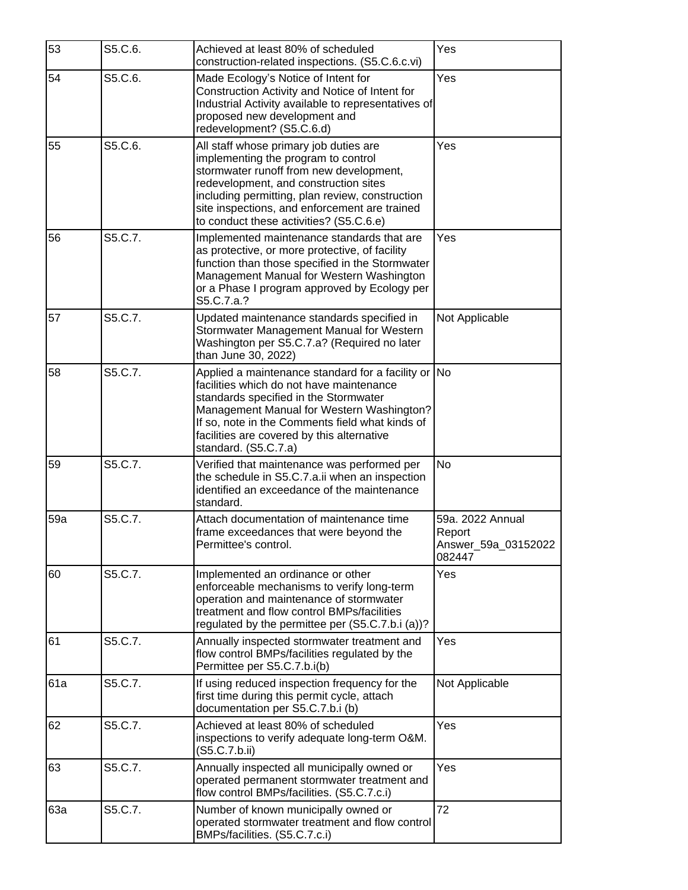| 53  | S5.C.6. | Achieved at least 80% of scheduled<br>construction-related inspections. (S5.C.6.c.vi)                                                                                                                                                                                                                            | Yes                                                         |
|-----|---------|------------------------------------------------------------------------------------------------------------------------------------------------------------------------------------------------------------------------------------------------------------------------------------------------------------------|-------------------------------------------------------------|
| 54  | S5.C.6. | Made Ecology's Notice of Intent for<br>Construction Activity and Notice of Intent for<br>Industrial Activity available to representatives of<br>proposed new development and<br>redevelopment? (S5.C.6.d)                                                                                                        | Yes                                                         |
| 55  | S5.C.6. | All staff whose primary job duties are<br>implementing the program to control<br>stormwater runoff from new development,<br>redevelopment, and construction sites<br>including permitting, plan review, construction<br>site inspections, and enforcement are trained<br>to conduct these activities? (S5.C.6.e) | Yes                                                         |
| 56  | S5.C.7. | Implemented maintenance standards that are<br>as protective, or more protective, of facility<br>function than those specified in the Stormwater<br>Management Manual for Western Washington<br>or a Phase I program approved by Ecology per<br>S5.C.7.a.?                                                        | Yes                                                         |
| 57  | S5.C.7. | Updated maintenance standards specified in<br>Stormwater Management Manual for Western<br>Washington per S5.C.7.a? (Required no later<br>than June 30, 2022)                                                                                                                                                     | Not Applicable                                              |
| 58  | S5.C.7. | Applied a maintenance standard for a facility or No<br>facilities which do not have maintenance<br>standards specified in the Stormwater<br>Management Manual for Western Washington?<br>If so, note in the Comments field what kinds of<br>facilities are covered by this alternative<br>standard. (S5.C.7.a)   |                                                             |
| 59  | S5.C.7. | Verified that maintenance was performed per<br>the schedule in S5.C.7.a.ii when an inspection<br>identified an exceedance of the maintenance<br>standard.                                                                                                                                                        | <b>No</b>                                                   |
| 59a | S5.C.7. | Attach documentation of maintenance time<br>frame exceedances that were beyond the<br>Permittee's control.                                                                                                                                                                                                       | 59a. 2022 Annual<br>Report<br>Answer_59a_03152022<br>082447 |
| 60  | S5.C.7. | Implemented an ordinance or other<br>enforceable mechanisms to verify long-term<br>operation and maintenance of stormwater<br>treatment and flow control BMPs/facilities<br>regulated by the permittee per (S5.C.7.b.i (a))?                                                                                     | Yes                                                         |
| 61  | S5.C.7. | Annually inspected stormwater treatment and<br>flow control BMPs/facilities regulated by the<br>Permittee per S5.C.7.b.i(b)                                                                                                                                                                                      | Yes                                                         |
| 61a | S5.C.7. | If using reduced inspection frequency for the<br>first time during this permit cycle, attach<br>documentation per S5.C.7.b.i (b)                                                                                                                                                                                 | Not Applicable                                              |
| 62  | S5.C.7. | Achieved at least 80% of scheduled<br>inspections to verify adequate long-term O&M.<br>(S5.C.7.b.ii)                                                                                                                                                                                                             | Yes                                                         |
| 63  | S5.C.7. | Annually inspected all municipally owned or<br>operated permanent stormwater treatment and<br>flow control BMPs/facilities. (S5.C.7.c.i)                                                                                                                                                                         | Yes                                                         |
| 63a | S5.C.7. | Number of known municipally owned or<br>operated stormwater treatment and flow control<br>BMPs/facilities. (S5.C.7.c.i)                                                                                                                                                                                          | 72                                                          |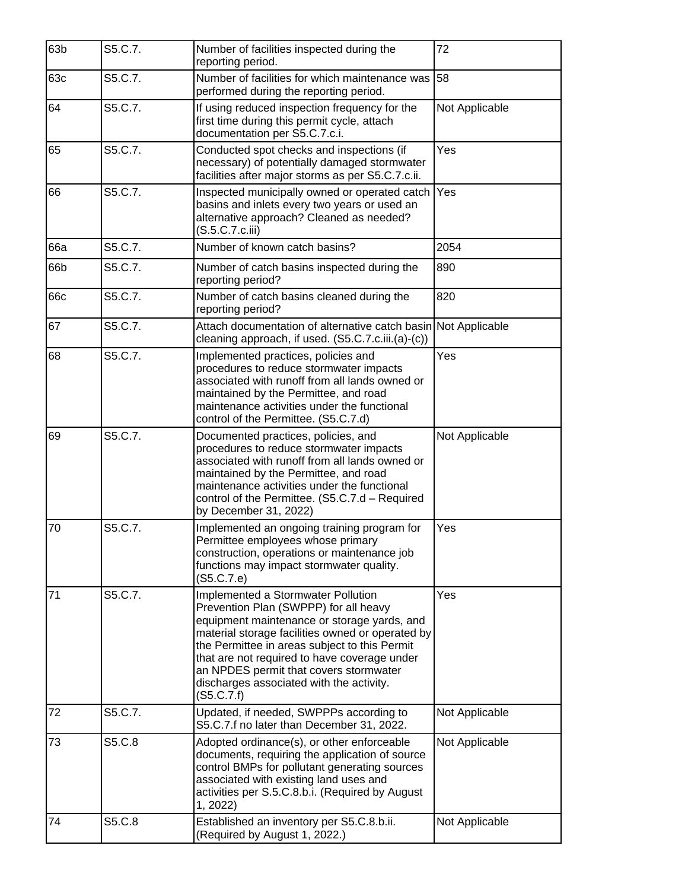| 63b | S5.C.7. | Number of facilities inspected during the<br>reporting period.                                                                                                                                                                                                                                                                                                                      | 72             |
|-----|---------|-------------------------------------------------------------------------------------------------------------------------------------------------------------------------------------------------------------------------------------------------------------------------------------------------------------------------------------------------------------------------------------|----------------|
| 63c | S5.C.7. | Number of facilities for which maintenance was<br>performed during the reporting period.                                                                                                                                                                                                                                                                                            | 58             |
| 64  | S5.C.7. | If using reduced inspection frequency for the<br>first time during this permit cycle, attach<br>documentation per S5.C.7.c.i.                                                                                                                                                                                                                                                       | Not Applicable |
| 65  | S5.C.7. | Conducted spot checks and inspections (if<br>necessary) of potentially damaged stormwater<br>facilities after major storms as per S5.C.7.c.ii.                                                                                                                                                                                                                                      | Yes            |
| 66  | S5.C.7. | Inspected municipally owned or operated catch<br>basins and inlets every two years or used an<br>alternative approach? Cleaned as needed?<br>(S.5.C.7.c.iii)                                                                                                                                                                                                                        | Yes            |
| 66a | S5.C.7. | Number of known catch basins?                                                                                                                                                                                                                                                                                                                                                       | 2054           |
| 66b | S5.C.7. | Number of catch basins inspected during the<br>reporting period?                                                                                                                                                                                                                                                                                                                    | 890            |
| 66c | S5.C.7. | Number of catch basins cleaned during the<br>reporting period?                                                                                                                                                                                                                                                                                                                      | 820            |
| 67  | S5.C.7. | Attach documentation of alternative catch basin Not Applicable<br>cleaning approach, if used. (S5.C.7.c.iii.(a)-(c))                                                                                                                                                                                                                                                                |                |
| 68  | S5.C.7. | Implemented practices, policies and<br>procedures to reduce stormwater impacts<br>associated with runoff from all lands owned or<br>maintained by the Permittee, and road<br>maintenance activities under the functional<br>control of the Permittee. (S5.C.7.d)                                                                                                                    | Yes            |
| 69  | S5.C.7. | Documented practices, policies, and<br>procedures to reduce stormwater impacts<br>associated with runoff from all lands owned or<br>maintained by the Permittee, and road<br>maintenance activities under the functional<br>control of the Permittee. (S5.C.7.d - Required<br>by December 31, 2022)                                                                                 | Not Applicable |
| 70  | S5.C.7. | Implemented an ongoing training program for<br>Permittee employees whose primary<br>construction, operations or maintenance job<br>functions may impact stormwater quality.<br>(S5.C.7.e)                                                                                                                                                                                           | Yes            |
| 71  | S5.C.7. | Implemented a Stormwater Pollution<br>Prevention Plan (SWPPP) for all heavy<br>equipment maintenance or storage yards, and<br>material storage facilities owned or operated by<br>the Permittee in areas subject to this Permit<br>that are not required to have coverage under<br>an NPDES permit that covers stormwater<br>discharges associated with the activity.<br>(S5.C.7.f) | Yes            |
| 72  | S5.C.7. | Updated, if needed, SWPPPs according to<br>S5.C.7.f no later than December 31, 2022.                                                                                                                                                                                                                                                                                                | Not Applicable |
| 73  | S5.C.8  | Adopted ordinance(s), or other enforceable<br>documents, requiring the application of source<br>control BMPs for pollutant generating sources<br>associated with existing land uses and<br>activities per S.5.C.8.b.i. (Required by August<br>1, 2022)                                                                                                                              | Not Applicable |
| 74  | S5.C.8  | Established an inventory per S5.C.8.b.ii.<br>(Required by August 1, 2022.)                                                                                                                                                                                                                                                                                                          | Not Applicable |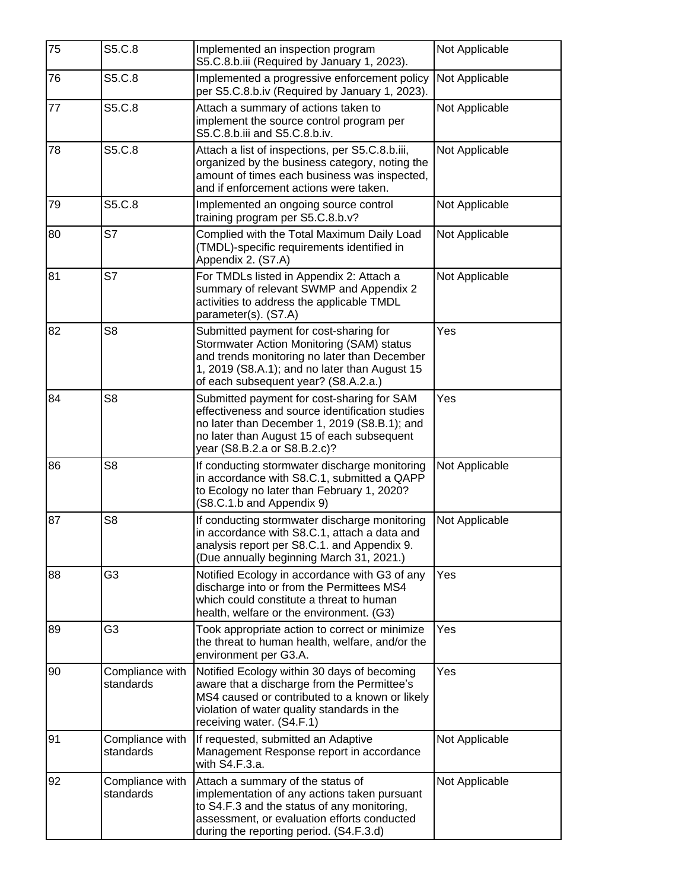| 75 | S5.C.8                       | Implemented an inspection program<br>S5.C.8.b.iii (Required by January 1, 2023).                                                                                                                                             | Not Applicable |
|----|------------------------------|------------------------------------------------------------------------------------------------------------------------------------------------------------------------------------------------------------------------------|----------------|
| 76 | S5.C.8                       | Implemented a progressive enforcement policy<br>per S5.C.8.b.iv (Required by January 1, 2023).                                                                                                                               | Not Applicable |
| 77 | S5.C.8                       | Attach a summary of actions taken to<br>implement the source control program per<br>S5.C.8.b.iii and S5.C.8.b.iv.                                                                                                            | Not Applicable |
| 78 | S5.C.8                       | Attach a list of inspections, per S5.C.8.b.iii,<br>organized by the business category, noting the<br>amount of times each business was inspected,<br>and if enforcement actions were taken.                                  | Not Applicable |
| 79 | S5.C.8                       | Implemented an ongoing source control<br>training program per S5.C.8.b.v?                                                                                                                                                    | Not Applicable |
| 80 | S7                           | Complied with the Total Maximum Daily Load<br>(TMDL)-specific requirements identified in<br>Appendix 2. (S7.A)                                                                                                               | Not Applicable |
| 81 | S7                           | For TMDLs listed in Appendix 2: Attach a<br>summary of relevant SWMP and Appendix 2<br>activities to address the applicable TMDL<br>parameter(s). (S7.A)                                                                     | Not Applicable |
| 82 | S <sub>8</sub>               | Submitted payment for cost-sharing for<br>Stormwater Action Monitoring (SAM) status<br>and trends monitoring no later than December<br>1, 2019 (S8.A.1); and no later than August 15<br>of each subsequent year? (S8.A.2.a.) | Yes            |
| 84 | S <sub>8</sub>               | Submitted payment for cost-sharing for SAM<br>effectiveness and source identification studies<br>no later than December 1, 2019 (S8.B.1); and<br>no later than August 15 of each subsequent<br>year (S8.B.2.a or S8.B.2.c)?  | Yes            |
| 86 | S <sub>8</sub>               | If conducting stormwater discharge monitoring<br>in accordance with S8.C.1, submitted a QAPP<br>to Ecology no later than February 1, 2020?<br>(S8.C.1.b and Appendix 9)                                                      | Not Applicable |
| 87 | S <sub>8</sub>               | If conducting stormwater discharge monitoring<br>in accordance with S8.C.1, attach a data and<br>analysis report per S8.C.1. and Appendix 9.<br>(Due annually beginning March 31, 2021.)                                     | Not Applicable |
| 88 | G3                           | Notified Ecology in accordance with G3 of any<br>discharge into or from the Permittees MS4<br>which could constitute a threat to human<br>health, welfare or the environment. (G3)                                           | Yes            |
| 89 | G3                           | Took appropriate action to correct or minimize<br>the threat to human health, welfare, and/or the<br>environment per G3.A.                                                                                                   | Yes            |
| 90 | Compliance with<br>standards | Notified Ecology within 30 days of becoming<br>aware that a discharge from the Permittee's<br>MS4 caused or contributed to a known or likely<br>violation of water quality standards in the<br>receiving water. (S4.F.1)     | Yes            |
| 91 | Compliance with<br>standards | If requested, submitted an Adaptive<br>Management Response report in accordance<br>with S4.F.3.a.                                                                                                                            | Not Applicable |
| 92 | Compliance with<br>standards | Attach a summary of the status of<br>implementation of any actions taken pursuant<br>to S4.F.3 and the status of any monitoring,<br>assessment, or evaluation efforts conducted<br>during the reporting period. (S4.F.3.d)   | Not Applicable |